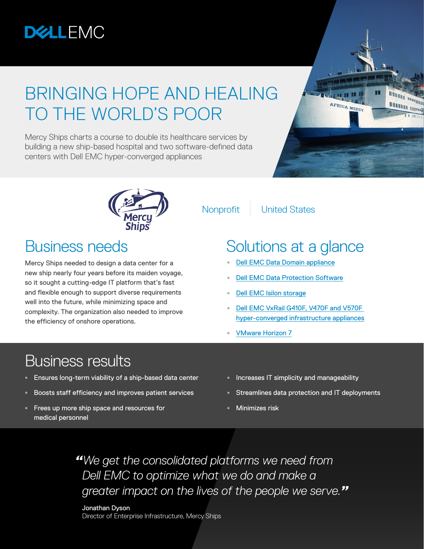

# BRINGING HOPE AND HEALING TO THE WORLD'S POOR

Mercy Ships charts a course to double its healthcare services by building a new ship-based hospital and two software-defined data centers with Dell EMC hyper-converged appliances





Mercy Ships needed to design a data center for a new ship nearly four years before its maiden voyage, so it sought a cutting-edge IT platform that's fast and flexible enough to support diverse requirements well into the future, while minimizing space and complexity. The organization also needed to improve the efficiency of onshore operations.

Nonprofit | United States

### Business needs Solutions at a glance

- **•** [Dell EMC Data Domain appliance](https://www.dellemc.com/en-us/data-protection/data-domain-backup-storage.htm#collapse)
- **•** [Dell EMC Data Protection Software](https://www.dellemc.com/en-us/data-protection/index.htm?CID=314993&st=dell+emc+data+protection+software&VEN1=dEaPmNYK%2C73598654338515%2C901qz26673%2Cc%2C&VEN2=be%2Cdell+emc+data+protection+software&LID=5962509&dgc=st&dgseg=cbg&acd=123092153372795930&VEN3=812004653222187703#tab0=1)
- **•** [Dell EMC Isilon storage](https://www.dellemc.com/en-us/storage/isilon/index.htm#collapse)
- **•** [Dell EMC VxRail G410F, V470F and V570F](https://www.dellemc.com/en-us/converged-infrastructure/vxrail/index.htm#scroll=off&collapse)  [hyper-converged infrastructure appliances](https://www.dellemc.com/en-us/converged-infrastructure/vxrail/index.htm#scroll=off&collapse)
- **•** [VMware Horizon 7](https://www.vmware.com/products/horizon.html)

#### Business results

- **•** Ensures long-term viability of a ship-based data center
- **•** Boosts staff efficiency and improves patient services
- **•** Frees up more ship space and resources for medical personnel
- **•** Increases IT simplicity and manageability
- **•** Streamlines data protection and IT deployments
- **•** Minimizes risk

*"We get the consolidated platforms we need from Dell EMC to optimize what we do and make a greater impact on the lives of the people we serve."*

Jonathan Dyson Director of Enterprise Infrastructure, Mercy Ships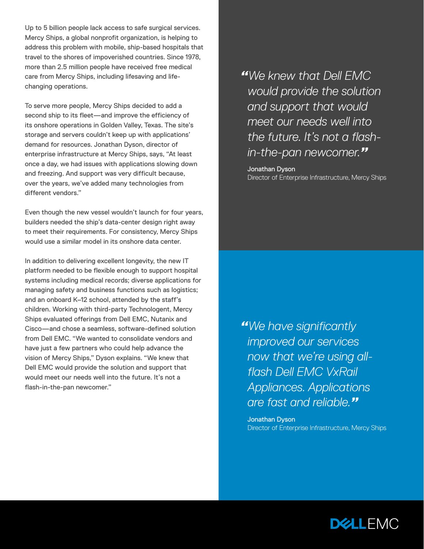Up to 5 billion people lack access to safe surgical services. Mercy Ships, a global nonprofit organization, is helping to address this problem with mobile, ship-based hospitals that travel to the shores of impoverished countries. Since 1978, more than 2.5 million people have received free medical care from Mercy Ships, including lifesaving and lifechanging operations.

To serve more people, Mercy Ships decided to add a second ship to its fleet—and improve the efficiency of its onshore operations in Golden Valley, Texas. The site's storage and servers couldn't keep up with applications' demand for resources. Jonathan Dyson, director of enterprise infrastructure at Mercy Ships, says, "At least once a day, we had issues with applications slowing down and freezing. And support was very difficult because, over the years, we've added many technologies from different vendors."

Even though the new vessel wouldn't launch for four years, builders needed the ship's data-center design right away to meet their requirements. For consistency, Mercy Ships would use a similar model in its onshore data center.

In addition to delivering excellent longevity, the new IT platform needed to be flexible enough to support hospital systems including medical records; diverse applications for managing safety and business functions such as logistics; and an onboard K–12 school, attended by the staff's children. Working with third-party Technologent, Mercy Ships evaluated offerings from Dell EMC, Nutanix and Cisco—and chose a seamless, software-defined solution from Dell EMC. "We wanted to consolidate vendors and have just a few partners who could help advance the vision of Mercy Ships," Dyson explains. "We knew that Dell EMC would provide the solution and support that would meet our needs well into the future. It's not a flash-in-the-pan newcomer."

*"We knew that Dell EMC would provide the solution and support that would meet our needs well into the future. It's not a flashin-the-pan newcomer."*

Jonathan Dyson Director of Enterprise Infrastructure, Mercy Ships

*"We have significantly improved our services now that we're using allflash Dell EMC VxRail Appliances. Applications are fast and reliable."*

Jonathan Dyson Director of Enterprise Infrastructure, Mercy Ships